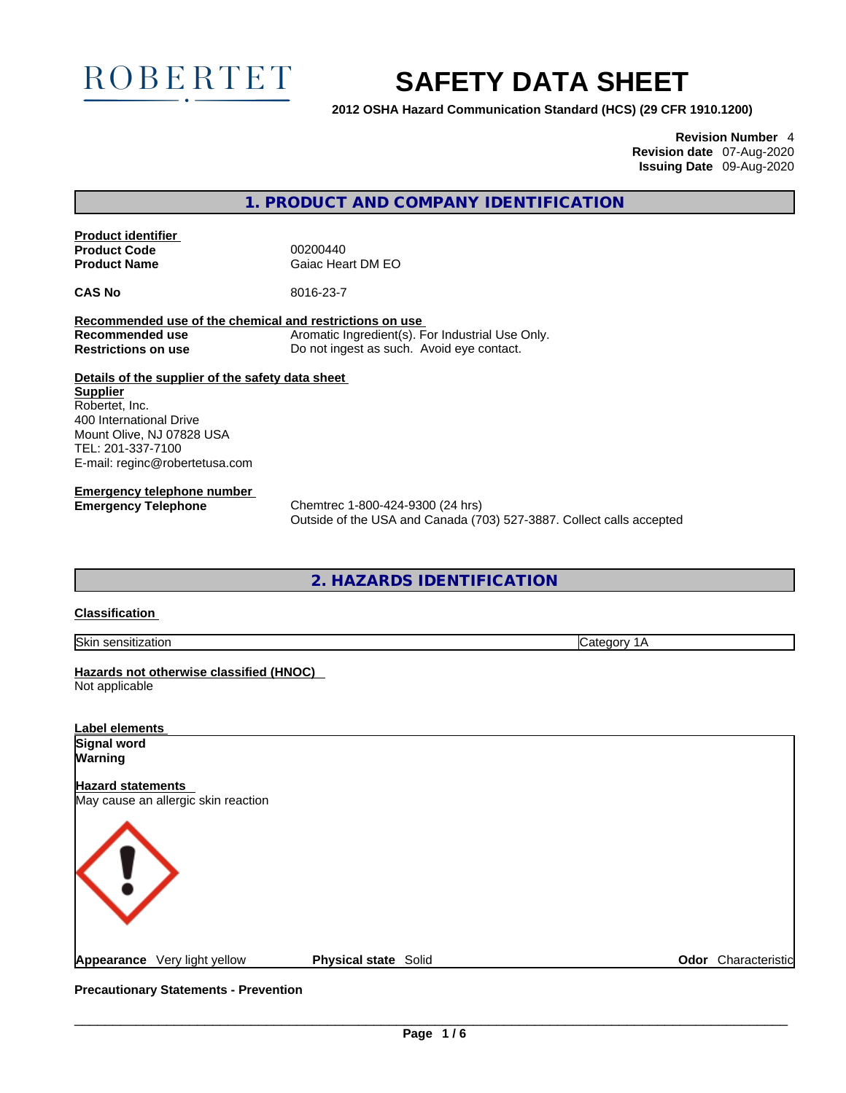

# **SAFETY DATA SHEET**

**2012 OSHA Hazard Communication Standard (HCS) (29 CFR 1910.1200)**

**Revision Number** 4 **Revision date** 07-Aug-2020 **Issuing Date** 09-Aug-2020

**1. PRODUCT AND COMPANY IDENTIFICATION** 

**Product identifier Product Code**  00200440<br> **Product Name** Gaiac Hea

**Gaiac Heart DM EO** 

**CAS No** 8016-23-7

**Recommended use of the chemical and restrictions on use Recommended use** Aromatic Ingredient(s). For Industrial Use Only. **Restrictions on use** Do not ingest as such. Avoid eye contact.

**Details of the supplier of the safety data sheet Supplier** Robertet, Inc. 400 International Drive Mount Olive, NJ 07828 USA TEL: 201-337-7100 E-mail: reginc@robertetusa.com

**Emergency telephone number**

**Emergency Telephone** Chemtrec 1-800-424-9300 (24 hrs) Outside of the USA and Canada (703) 527-3887. Collect calls accepted

**2. HAZARDS IDENTIFICATION** 

## **Classification**

Skin sensitization Category 1A

**Hazards not otherwise classified (HNOC)**  Not applicable

| Label elements                                                  |                             |                     |
|-----------------------------------------------------------------|-----------------------------|---------------------|
| Signal word                                                     |                             |                     |
| <b>Warning</b>                                                  |                             |                     |
| <b>Hazard statements</b><br>May cause an allergic skin reaction |                             |                     |
| $\langle$ !                                                     |                             |                     |
| Appearance Very light yellow                                    | <b>Physical state Solid</b> | Odor Characteristic |

**Precautionary Statements - Prevention**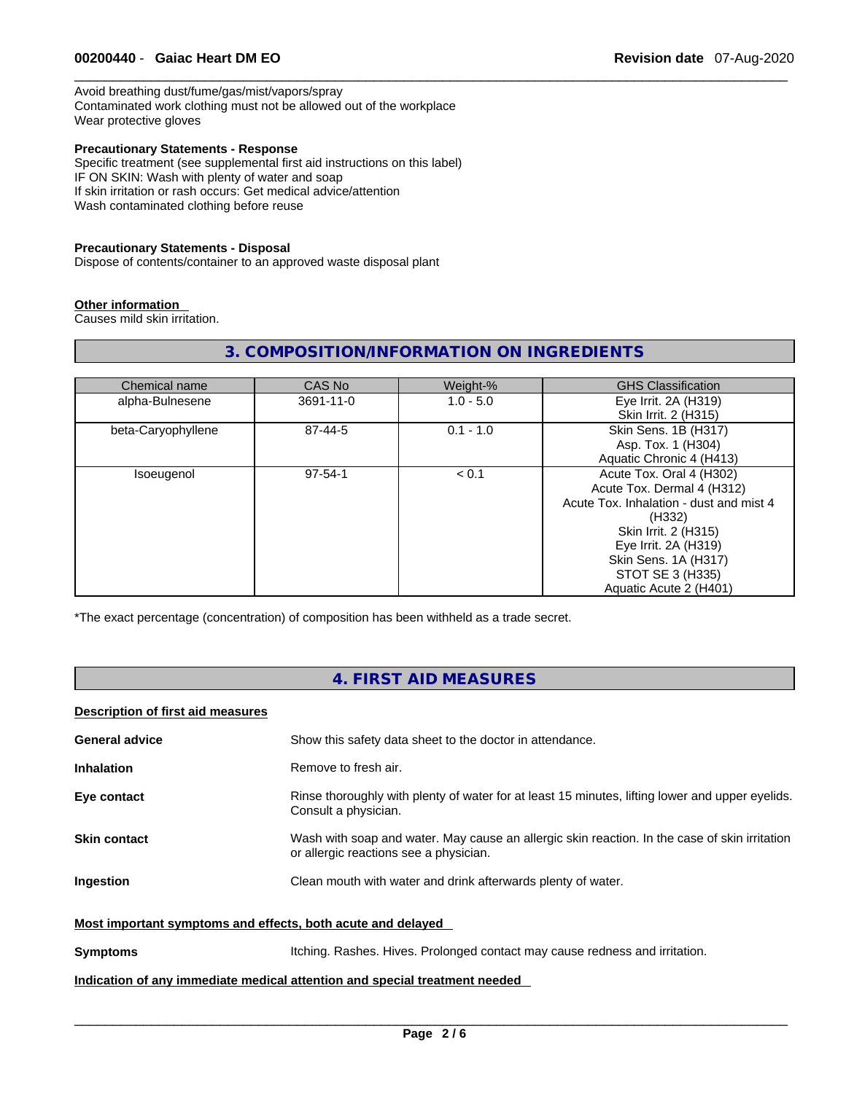Avoid breathing dust/fume/gas/mist/vapors/spray Contaminated work clothing must not be allowed out of the workplace Wear protective gloves

## **Precautionary Statements - Response**

Specific treatment (see supplemental first aid instructions on this label) IF ON SKIN: Wash with plenty of water and soap If skin irritation or rash occurs: Get medical advice/attention Wash contaminated clothing before reuse

#### **Precautionary Statements - Disposal**

Dispose of contents/container to an approved waste disposal plant

#### **Other information**

Causes mild skin irritation.

# **3. COMPOSITION/INFORMATION ON INGREDIENTS**

| Chemical name      | CAS No        | Weight-%    | <b>GHS Classification</b>               |
|--------------------|---------------|-------------|-----------------------------------------|
| alpha-Bulnesene    | 3691-11-0     | $1.0 - 5.0$ | Eye Irrit. 2A (H319)                    |
|                    |               |             | Skin Irrit. 2 (H315)                    |
| beta-Caryophyllene | 87-44-5       | $0.1 - 1.0$ | Skin Sens. 1B (H317)                    |
|                    |               |             | Asp. Tox. 1 (H304)                      |
|                    |               |             | Aquatic Chronic 4 (H413)                |
| Isoeugenol         | $97 - 54 - 1$ | < 0.1       | Acute Tox. Oral 4 (H302)                |
|                    |               |             | Acute Tox. Dermal 4 (H312)              |
|                    |               |             | Acute Tox, Inhalation - dust and mist 4 |
|                    |               |             | (H332)                                  |
|                    |               |             | Skin Irrit. 2 (H315)                    |
|                    |               |             | Eye Irrit. 2A (H319)                    |
|                    |               |             | Skin Sens. 1A (H317)                    |
|                    |               |             | STOT SE 3 (H335)                        |
|                    |               |             | Aquatic Acute 2 (H401)                  |

\*The exact percentage (concentration) of composition has been withheld as a trade secret.

# **4. FIRST AID MEASURES**

## **Description of first aid measures**

| <b>General advice</b>                                                      | Show this safety data sheet to the doctor in attendance.                                                                                |  |
|----------------------------------------------------------------------------|-----------------------------------------------------------------------------------------------------------------------------------------|--|
| <b>Inhalation</b>                                                          | Remove to fresh air.                                                                                                                    |  |
| Eye contact                                                                | Rinse thoroughly with plenty of water for at least 15 minutes, lifting lower and upper eyelids.<br>Consult a physician.                 |  |
| <b>Skin contact</b>                                                        | Wash with soap and water. May cause an allergic skin reaction. In the case of skin irritation<br>or allergic reactions see a physician. |  |
| Ingestion                                                                  | Clean mouth with water and drink afterwards plenty of water.                                                                            |  |
| Most important symptoms and effects, both acute and delayed                |                                                                                                                                         |  |
| <b>Symptoms</b>                                                            | Itching. Rashes. Hives. Prolonged contact may cause redness and irritation.                                                             |  |
| Indication of any immediate medical attention and special treatment needed |                                                                                                                                         |  |
|                                                                            |                                                                                                                                         |  |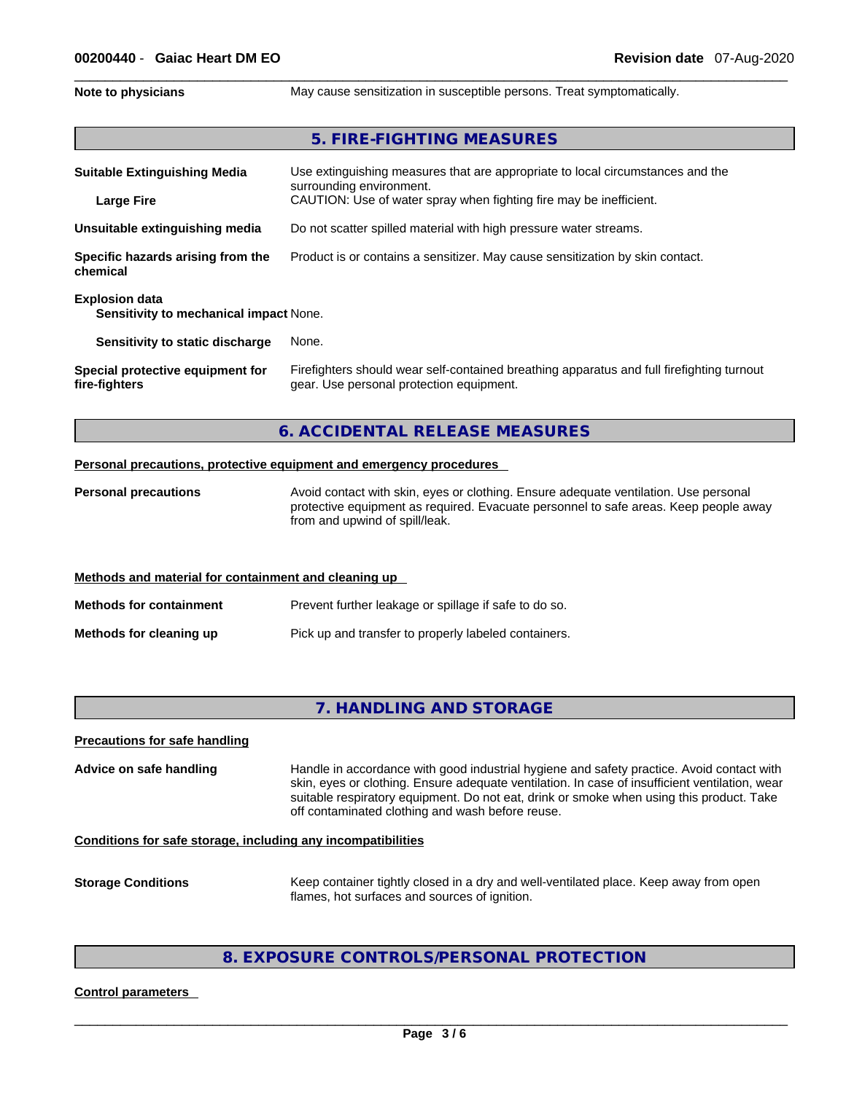**Note to physicians** May cause sensitization in susceptible persons. Treat symptomatically.

## **5. FIRE-FIGHTING MEASURES**

| <b>Suitable Extinguishing Media</b>                                    | Use extinguishing measures that are appropriate to local circumstances and the<br>surrounding environment.                            |  |  |
|------------------------------------------------------------------------|---------------------------------------------------------------------------------------------------------------------------------------|--|--|
| <b>Large Fire</b>                                                      | CAUTION: Use of water spray when fighting fire may be inefficient.                                                                    |  |  |
| Unsuitable extinguishing media                                         | Do not scatter spilled material with high pressure water streams.                                                                     |  |  |
| Specific hazards arising from the<br>chemical                          | Product is or contains a sensitizer. May cause sensitization by skin contact.                                                         |  |  |
| <b>Explosion data</b><br><b>Sensitivity to mechanical impact None.</b> |                                                                                                                                       |  |  |
| Sensitivity to static discharge                                        | None.                                                                                                                                 |  |  |
| Special protective equipment for<br>fire-fighters                      | Firefighters should wear self-contained breathing apparatus and full firefighting turnout<br>gear. Use personal protection equipment. |  |  |

## **6. ACCIDENTAL RELEASE MEASURES**

#### **Personal precautions, protective equipment and emergency procedures**

**Personal precautions** Avoid contact with skin, eyes or clothing. Ensure adequate ventilation. Use personal protective equipment as required. Evacuate personnel to safe areas. Keep people away from and upwind of spill/leak.

#### **Methods and material for containment and cleaning up**

**Methods for containment** Prevent further leakage or spillage if safe to do so. **Methods for cleaning up** Pick up and transfer to properly labeled containers.

# **7. HANDLING AND STORAGE**

#### **Precautions for safe handling**

**Advice on safe handling** Handle in accordance with good industrial hygiene and safety practice. Avoid contact with skin, eyes or clothing. Ensure adequate ventilation. In case of insufficient ventilation, wear suitable respiratory equipment. Do not eat, drink or smoke when using this product. Take off contaminated clothing and wash before reuse.

#### **Conditions for safe storage, including any incompatibilities**

**Storage Conditions** Keep container tightly closed in a dry and well-ventilated place. Keep away from open flames, hot surfaces and sources of ignition.

# **8. EXPOSURE CONTROLS/PERSONAL PROTECTION**

#### **Control parameters**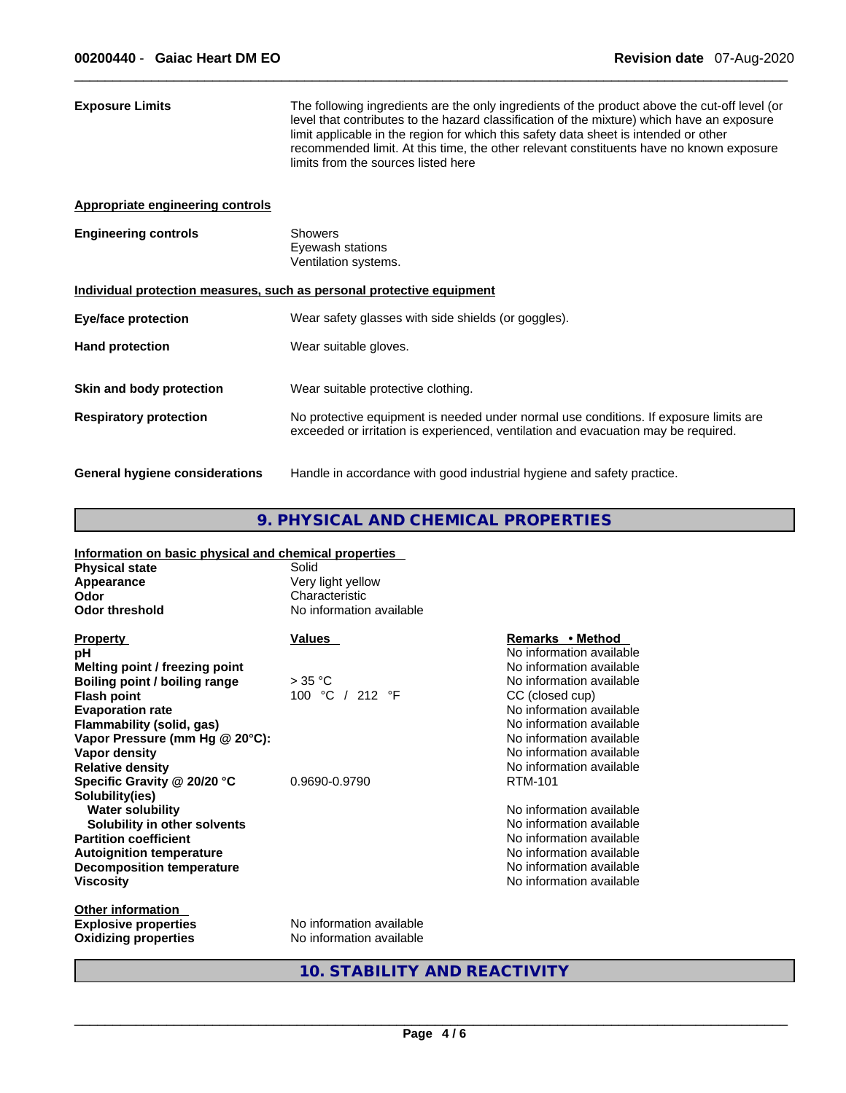| <b>Exposure Limits</b>                                                | The following ingredients are the only ingredients of the product above the cut-off level (or<br>level that contributes to the hazard classification of the mixture) which have an exposure<br>limit applicable in the region for which this safety data sheet is intended or other<br>recommended limit. At this time, the other relevant constituents have no known exposure<br>limits from the sources listed here |  |  |
|-----------------------------------------------------------------------|-----------------------------------------------------------------------------------------------------------------------------------------------------------------------------------------------------------------------------------------------------------------------------------------------------------------------------------------------------------------------------------------------------------------------|--|--|
| Appropriate engineering controls                                      |                                                                                                                                                                                                                                                                                                                                                                                                                       |  |  |
| <b>Engineering controls</b>                                           | <b>Showers</b><br>Eyewash stations<br>Ventilation systems.                                                                                                                                                                                                                                                                                                                                                            |  |  |
| Individual protection measures, such as personal protective equipment |                                                                                                                                                                                                                                                                                                                                                                                                                       |  |  |
| <b>Eye/face protection</b>                                            | Wear safety glasses with side shields (or goggles).                                                                                                                                                                                                                                                                                                                                                                   |  |  |
| <b>Hand protection</b>                                                | Wear suitable gloves.                                                                                                                                                                                                                                                                                                                                                                                                 |  |  |
| Skin and body protection                                              | Wear suitable protective clothing.                                                                                                                                                                                                                                                                                                                                                                                    |  |  |
| <b>Respiratory protection</b>                                         | No protective equipment is needed under normal use conditions. If exposure limits are<br>exceeded or irritation is experienced, ventilation and evacuation may be required.                                                                                                                                                                                                                                           |  |  |
| General hygiene considerations                                        | Handle in accordance with good industrial hygiene and safety practice.                                                                                                                                                                                                                                                                                                                                                |  |  |

# **9. PHYSICAL AND CHEMICAL PROPERTIES**

## **Information on basic physical and chemical properties Physical state** Solid **Appearance Very light yellow Odor Characteristic**<br> **Odor threshold Characteristic**<br> **No information No information available Other information Property CONSCRUTE ACCORDING MANUAL PROPERTY Remarks •** Method **pH**<br> **pH** No information available<br> **Melting point / freezing point**<br> **Melting point / freezing point Melting point / freezing point**<br> **Boiling point / boiling range**  $\rightarrow$  35 °C No information available **Boiling point / boiling range Flash point** 100 °C / 212 °F CC (closed cup) **Evaporation rate Evaporation rate**  $\sim$  **Evaporation** available **Flammability (solid, gas)** No information available **Vapor Pressure (mm Hg @ 20°C):** No information available **Vapor density**<br> **Relative density**<br> **Relative density**<br> **Relative density Relative Relative Density** No information available<br>RTM-101 **Specific Gravity @ 20/20 °C Solubility(ies) Water solubility**<br> **Water solubility** in other solvents<br> **Solubility** in other solvents<br> **Solubility** in other solvents **Solubility in other solvents**<br>**Partition coefficient No information available Autoignition temperature 1988 1999 1999 1999 1999 1999 1999 1999 1999 1999 1999 1999 1999 1999 1999 1999 1999 1999 1999 1999 1999 1999 1999 1999 1999 1999 1999 1999 Decomposition temperature**  $\qquad \qquad \qquad \qquad \qquad \text{No information available}$ **Viscosity**  No information available

**Explosive properties**<br> **Communisher Calculate Calculate Calculate**<br> **No information available Oxidizing properties** 

**10. STABILITY AND REACTIVITY**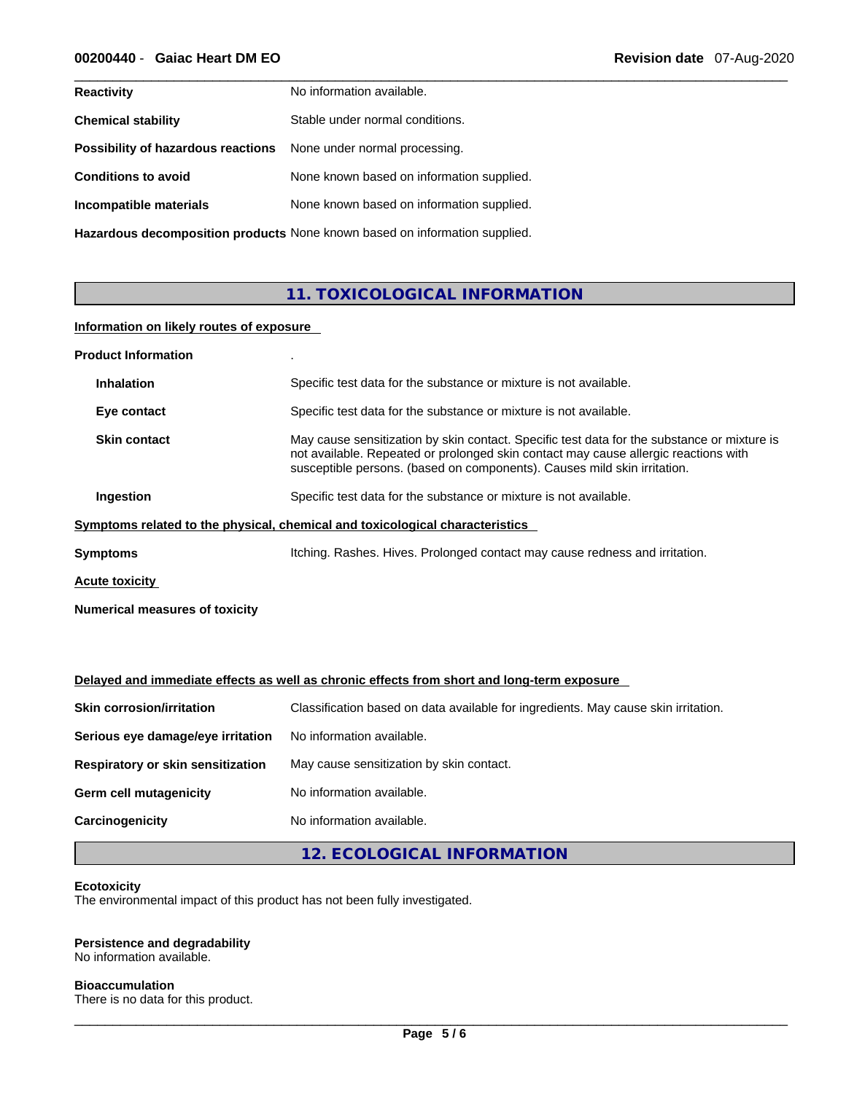| <b>Reactivity</b>                  | No information available.                 |
|------------------------------------|-------------------------------------------|
| <b>Chemical stability</b>          | Stable under normal conditions.           |
| Possibility of hazardous reactions | None under normal processing.             |
| <b>Conditions to avoid</b>         | None known based on information supplied. |
| Incompatible materials             | None known based on information supplied. |
|                                    |                                           |

**Hazardous decomposition products** None known based on information supplied.

# **11. TOXICOLOGICAL INFORMATION**

## **Information on likely routes of exposure**

| <b>Product Information</b>            |                                                                                                                                                                                                                                                                |
|---------------------------------------|----------------------------------------------------------------------------------------------------------------------------------------------------------------------------------------------------------------------------------------------------------------|
| <b>Inhalation</b>                     | Specific test data for the substance or mixture is not available.                                                                                                                                                                                              |
| Eye contact                           | Specific test data for the substance or mixture is not available.                                                                                                                                                                                              |
| <b>Skin contact</b>                   | May cause sensitization by skin contact. Specific test data for the substance or mixture is<br>not available. Repeated or prolonged skin contact may cause allergic reactions with<br>susceptible persons. (based on components). Causes mild skin irritation. |
| Ingestion                             | Specific test data for the substance or mixture is not available.                                                                                                                                                                                              |
|                                       | Symptoms related to the physical, chemical and toxicological characteristics                                                                                                                                                                                   |
| Symptoms                              | Itching. Rashes. Hives. Prolonged contact may cause redness and irritation.                                                                                                                                                                                    |
| Acute toxicity                        |                                                                                                                                                                                                                                                                |
| <b>Numerical measures of toxicity</b> |                                                                                                                                                                                                                                                                |

# **Delayed and immediate effects as well as chronic effects from short and long-term exposure**

| <b>Skin corrosion/irritation</b>  | Classification based on data available for ingredients. May cause skin irritation. |  |
|-----------------------------------|------------------------------------------------------------------------------------|--|
| Serious eye damage/eye irritation | No information available.                                                          |  |
| Respiratory or skin sensitization | May cause sensitization by skin contact.                                           |  |
| Germ cell mutagenicity            | No information available.                                                          |  |
| Carcinogenicity                   | No information available.                                                          |  |
|                                   |                                                                                    |  |

**12. ECOLOGICAL INFORMATION** 

## **Ecotoxicity**

The environmental impact of this product has not been fully investigated.

# **Persistence and degradability**

No information available.

## **Bioaccumulation**

There is no data for this product.